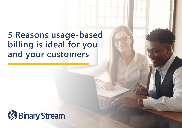**5 Reasons usage-based billing is ideal for you and your customers**

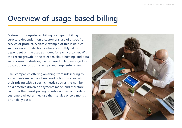### **Overview of usage-based billing**

Metered or usage-based billing is a type of billing structure dependent on a customer's use of a specific service or product. A classic example of this is utilities such as water or electricity where a monthly bill is dependent on the usage amount for each customer. With the recent growth in the telecom, cloud hosting, and data warehousing industries, usage-based billing emerged as a go-to option for both startups and large enterprises.

SaaS companies offering anything from ridesharing to e-payments make use of metered billing by associating their pricing with a specific metric such as the number of kilometres driven or payments made, and therefore can offer the fairest pricing possible and accommodate customers whether they use their service once a month, or on daily basis.

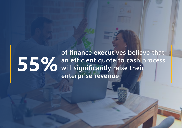#### **of finance executives believe that an efficient quote to cash process will significantly raise their enterprise revenue 55%**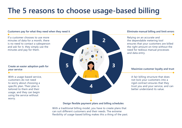### **The 5 reasons to choose usage-based billing**



can suit different customers and their needs. The extreme flexibility of usage-based billing makes this a thing of the past.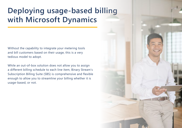# **Deploying usage-based billing with Microsoft Dynamics**

Without the capability to integrate your metering tools and bill customers based on their usage, this is a very tedious model to adopt.

While an out-of-box solution does not allow you to assign a different billing schedule to each line item, Binary Stream's Subscription Billing Suite (SBS) is comprehensive and flexible enough to allow you to streamline your billing whether it is usage-based, or not.

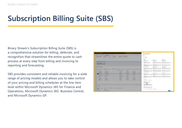# **Subscription Billing Suite (SBS)**

Binary Stream's Subscription Billing Suite (SBS) is a comprehensive solution for billing, deferrals, and recognition that streamlines the entire quote to cash process at every step from billing and invoicing to reporting and forecasting.

SBS provides consistent and reliable invoicing for a wide range of pricing models and allows you to take control of your pricing and billing schedules at the line item level within Microsoft Dynamics 365 for Finance and Operations, Microsoft Dynamics 365 Business Central, and Microsoft Dynamics GP.

| <b>Printed in the least of the con-</b>        |                                                          |                         |                    |                   |   | <b>STATE</b><br><b>WARLACTER</b>                       | more com-<br><b>WEBSIZER</b>                                              | Liderators.<br><b>WARA ACTION</b>                    |
|------------------------------------------------|----------------------------------------------------------|-------------------------|--------------------|-------------------|---|--------------------------------------------------------|---------------------------------------------------------------------------|------------------------------------------------------|
| Av Bulletine McCollin<br>19685 FREES / FEL 800 |                                                          |                         |                    |                   |   | dente and<br><b>CONTRACTOR</b><br>And a few of the lot | <b>Seattle Avenue</b><br><b>James</b> Co.<br><b>Selection of Contract</b> | <b>State Controller</b><br>\$33.23<br><b>Send Ad</b> |
|                                                |                                                          |                         |                    |                   |   |                                                        |                                                                           |                                                      |
|                                                |                                                          |                         |                    |                   |   | <b>Millengerick India</b>                              |                                                                           |                                                      |
|                                                |                                                          |                         |                    |                   |   | <b>Street Avenue</b><br><b>CONTRACTOR</b>              | <b><i>International</i></b><br><b>CONTRACTOR</b>                          | <b>ANGLE VATAR</b>                                   |
|                                                | A 2010 S. D. Grand - Mills And - Mills A. Mills Arenamed | <b>TAXABLE ALCOHOL:</b> | <b>SHARPHONE</b>   | ----              | - |                                                        | <b>Separated</b>                                                          | designation of the local                             |
| and the company's con-                         | <b>The County</b>                                        | <b>STATISTICS</b>       | <b>CONTRACTOR</b>  | <b>START OF</b>   |   | dealership and<br>DOM NATIONAL                         | <b>Real Secretary Links</b>                                               | <b>STATISTICS</b>                                    |
| <b>SALESTIN</b>                                | <b>BARTERS</b>                                           | <b>W. Millergow</b>     | <b>STORY &amp;</b> | <b>STORIES</b>    |   | denter the con-                                        | and the state of the state of                                             | <b>Service Control</b>                               |
| Tel EChief                                     | <b>SAFERING</b>                                          | <b>EXIGN</b>            | <b>AVLINE</b>      | <b>VYCEN</b>      |   | <b>JULIA LIST</b>                                      | <b>SERVICES</b>                                                           | <b>Send them</b>                                     |
| <b>Commercial</b>                              | <b>STATISTICS</b>                                        | <b>The Company</b>      | <b>SALES</b>       | <b>STATISTICS</b> |   | <b>MORE</b>                                            | <b>Brand Corp.</b>                                                        | aran i                                               |
| <b>General Federal</b><br>-----                | <b>Secret Departs</b>                                    | <b>COMMERCIAL</b>       | Access of          | <b>BALLEY</b>     |   | <b>STATISTICS</b>                                      | Scientification                                                           | and an                                               |
| <b>MARINE</b><br>.                             | <b>HOME</b>                                              | <b>STRUDE</b>           | <b>ALCOHOL:</b>    | . .               |   | THE CASE                                               | $-11.1$                                                                   | <b>STEAM TO</b>                                      |
| <b>CONTRACTOR</b>                              | _                                                        | <b>STARBOOK</b>         | <b>STATE</b>       | <b>SERVICE</b>    |   | Literatur.                                             |                                                                           |                                                      |
| <b>Telephone</b>                               | <b>The Corporation</b>                                   | <b>STEWART</b>          | <b>ACCARDO</b>     | <b>WEIGHT</b>     |   | the state of the local                                 |                                                                           |                                                      |
| <b>STATE</b>                                   | <b>Particularly</b>                                      | <b>STANDS</b>           | <b>STARTS</b>      | <b>STERE</b>      |   | - - Hornik Eng. 1- Frankfurted-                        |                                                                           |                                                      |
|                                                |                                                          |                         |                    |                   |   | <b>START OF</b>                                        |                                                                           |                                                      |
|                                                |                                                          |                         |                    |                   |   | . .                                                    |                                                                           |                                                      |
|                                                |                                                          |                         |                    |                   |   | $-45$                                                  |                                                                           |                                                      |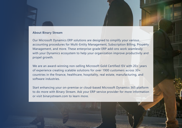#### **About Binary Stream**

Our Microsoft Dynamics ERP solutions are designed to simplify your various accounting procedures for Multi-Entity Management, Subscription Billing, Property Management, and more. These enterprise-grade ERP add-ons work seamlessly with your Dynamics ecosystem to help your organization improve productivity and propel growth.

We are an award-winning non-selling Microsoft Gold Certified ISV with 20+ years of experience creating scalable solutions for over 1900 customers across 30+ countries in the finance, healthcare, hospitality, real estate, manufacturing, and software industries.

Start enhancing your on-premise or cloud-based Microsoft Dynamics 365 platform to do more with Binary Stream. Ask your ERP service provider for more information or visit binarystream.com to learn more.